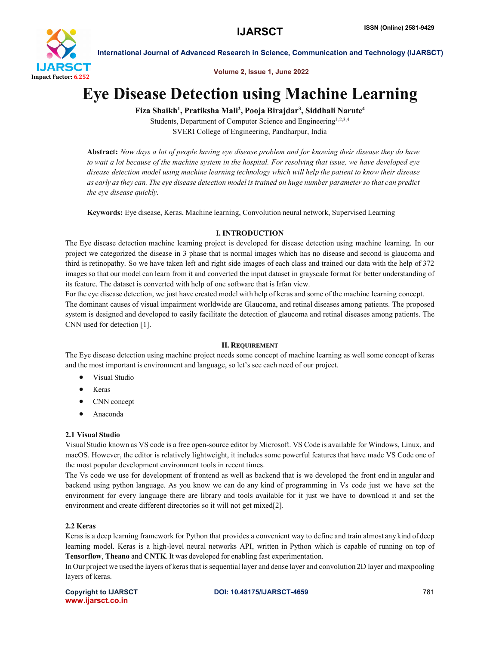

Volume 2, Issue 1, June 2022

# Eye Disease Detection using Machine Learning

Fiza Shaikh<sup>1</sup>, Pratiksha Mali<sup>2</sup>, Pooja Birajdar<sup>3</sup>, Siddhali Narute<sup>4</sup>

Students, Department of Computer Science and Engineering<sup>1,2,3,4</sup> SVERI College of Engineering, Pandharpur, India

Abstract: *Now days a lot of people having eye disease problem and for knowing their disease they do have to wait a lot because of the machine system in the hospital. For resolving that issue, we have developed eye disease detection model using machine learning technology which will help the patient to know their disease as early as they can. The eye disease detection model is trained on huge number parameter so that can predict the eye disease quickly.*

Keywords: Eye disease, Keras, Machine learning, Convolution neural network, Supervised Learning

# I. INTRODUCTION

The Eye disease detection machine learning project is developed for disease detection using machine learning. In our project we categorized the disease in 3 phase that is normal images which has no disease and second is glaucoma and third is retinopathy. So we have taken left and right side images of each class and trained our data with the help of 372 images so that our model can learn from it and converted the input dataset in grayscale format for better understanding of its feature. The dataset is converted with help of one software that is Irfan view.

For the eye disease detection, we just have created model with help of keras and some of the machine learning concept. The dominant causes of visual impairment worldwide are Glaucoma, and retinal diseases among patients. The proposed system is designed and developed to easily facilitate the detection of glaucoma and retinal diseases among patients. The CNN used for detection [1].

# II. REQUIREMENT

The Eye disease detection using machine project needs some concept of machine learning as well some concept of keras and the most important is environment and language, so let's see each need of our project.

- Visual Studio
- Keras
- CNN concept
- Anaconda

# 2.1 Visual Studio

Visual Studio known as VS code is a free open-source editor by Microsoft. VS Code is available for Windows, Linux, and macOS. However, the editor is relatively lightweight, it includes some powerful features that have made VS Code one of the most popular development environment tools in recent times.

The Vs code we use for development of frontend as well as backend that is we developed the front end in angular and backend using python language. As you know we can do any kind of programming in Vs code just we have set the environment for every language there are library and tools available for it just we have to download it and set the environment and create different directories so it will not get mixed[2].

# 2.2 Keras

Keras is a deep learning framework for Python that provides a convenient way to define and train almost any kind of deep learning model. Keras is a high-level neural networks API, written in Python which is capable of running on top of Tensorflow, Theano and CNTK. It was developed for enabling fast experimentation.

In Our project we used the layers of kerasthat issequential layer and dense layer and convolution 2D layer and maxpooling layers of keras.

www.ijarsct.co.in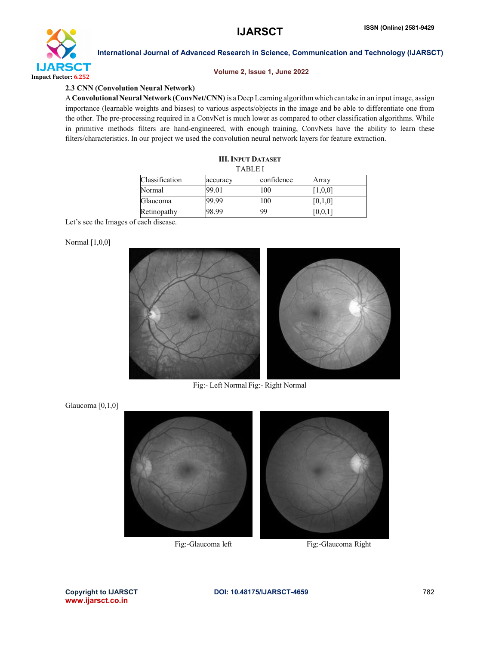

### Volume 2, Issue 1, June 2022

## 2.3 CNN (Convolution Neural Network)

A Convolutional Neural Network(ConvNet/CNN) is a Deep Learning algorithmwhich can take in an input image, assign importance (learnable weights and biases) to various aspects/objects in the image and be able to differentiate one from the other. The pre-processing required in a ConvNet is much lower as compared to other classification algorithms. While in primitive methods filters are hand-engineered, with enough training, ConvNets have the ability to learn these filters/characteristics. In our project we used the convolution neural network layers for feature extraction.

**III. INPUT DATASET** 

| <b>TABLEI</b>  |          |            |         |  |  |  |  |
|----------------|----------|------------|---------|--|--|--|--|
| Classification | accuracy | confidence | Array   |  |  |  |  |
| Normal         | 99.01    | 100        | 1,0,0]  |  |  |  |  |
| Glaucoma       | 99.99    | 100        | [0,1,0] |  |  |  |  |
| Retinopathy    | 98.99    | 99         | [0.0.1] |  |  |  |  |

Let's see the Images of each disease.

Normal [1,0,0]



Fig:- Left Normal Fig:- Right Normal

Glaucoma [0,1,0]



Fig:-Glaucoma left Fig:-Glaucoma Right

www.ijarsct.co.in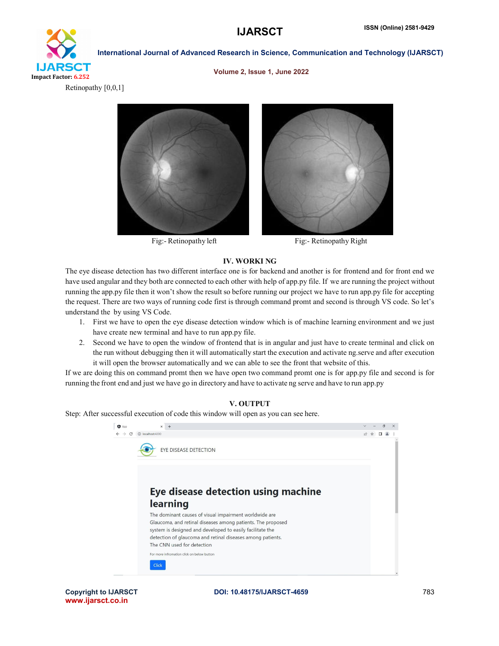

#### Volume 2, Issue 1, June 2022

Retinopathy [0,0,1]





Fig:- Retinopathy left Fig:- Retinopathy Right

### IV. WORKI NG

The eye disease detection has two different interface one is for backend and another is for frontend and for front end we have used angular and they both are connected to each other with help of app.py file. If we are running the project without running the app.py file then it won't show the result so before running our project we have to run app.py file for accepting the request. There are two ways of running code first is through command promt and second is through VS code. So let's understand the by using VS Code.

- 1. First we have to open the eye disease detection window which is of machine learning environment and we just have create new terminal and have to run app.py file.
- 2. Second we have to open the window of frontend that is in angular and just have to create terminal and click on the run without debugging then it will automatically start the execution and activate ng.serve and after execution it will open the browser automatically and we can able to see the front that website of this.

If we are doing this on command promt then we have open two command promt one is for app.py file and second is for running the front end and just we have go in directory and have to activate ng serve and have to run app.py

### V. OUTPUT

Step: After successful execution of code this window will open as you can see here.



Copyright to IJARSCT **DOI: 10.48175/IJARSCT-4659** 783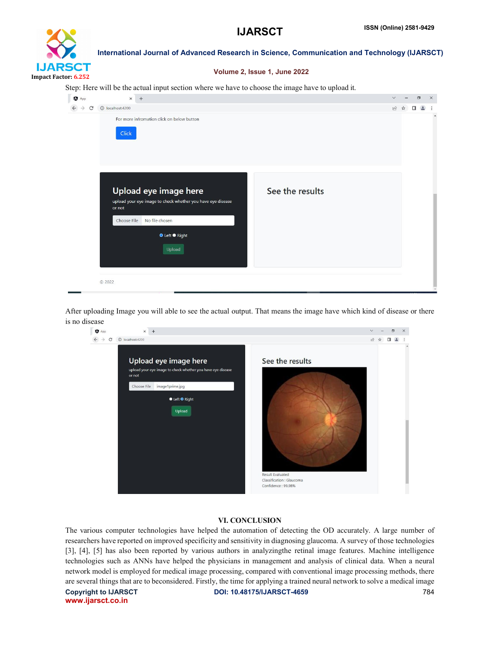

### Volume 2, Issue 1, June 2022

Step: Here will be the actual input section where we have to choose the image have to upload it.

| App                                                                                            | $\times$<br>$+$               |                 | $\vee$    |  | σ | $\times$                 |
|------------------------------------------------------------------------------------------------|-------------------------------|-----------------|-----------|--|---|--------------------------|
| C<br>$\leftarrow$ $\rightarrow$                                                                | 1 localhost:4200              |                 | $\vec{P}$ |  |   |                          |
| For more infromation click on below button<br>Click                                            |                               |                 |           |  |   | $\overline{\phantom{a}}$ |
| Upload eye image here<br>upload your eye image to check whether you have eye disease<br>or not |                               | See the results |           |  |   |                          |
|                                                                                                | No file chosen<br>Choose File |                 |           |  |   |                          |
|                                                                                                | ● Left ● Right                |                 |           |  |   |                          |
|                                                                                                | Upload                        |                 |           |  |   |                          |
|                                                                                                | © 2022                        |                 |           |  |   |                          |

After uploading Image you will able to see the actual output. That means the image have which kind of disease or there is no disease



# VI. CONCLUSION

The various computer technologies have helped the automation of detecting the OD accurately. A large number of researchers have reported on improved specificity and sensitivity in diagnosing glaucoma. A survey of those technologies [3], [4], [5] has also been reported by various authors in analyzingthe retinal image features. Machine intelligence technologies such as ANNs have helped the physicians in management and analysis of clinical data. When a neural network model is employed for medical image processing, compared with conventional image processing methods, there are several things that are to beconsidered. Firstly, the time for applying a trained neural network to solve a medical image

www.ijarsct.co.in